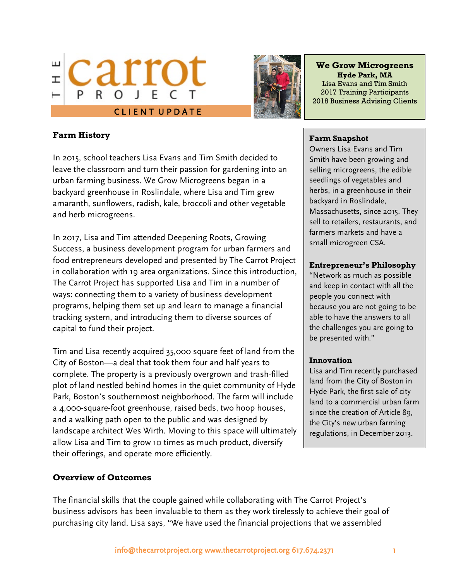



### **We Grow Microgreens Hyde Park, MA** Lisa Evans and Tim Smith 2017 Training Participants

## **Farm History**

In 2015, school teachers Lisa Evans and Tim Smith decided to leave the classroom and turn their passion for gardening into an urban farming business. We Grow Microgreens began in a backyard greenhouse in Roslindale, where Lisa and Tim grew amaranth, sunflowers, radish, kale, broccoli and other vegetable and herb microgreens.

In 2017, Lisa and Tim attended Deepening Roots, Growing Success, a business development program for urban farmers and food entrepreneurs developed and presented by The Carrot Project in collaboration with 19 area organizations. Since this introduction, The Carrot Project has supported Lisa and Tim in a number of ways: connecting them to a variety of business development programs, helping them set up and learn to manage a financial tracking system, and introducing them to diverse sources of capital to fund their project.

Tim and Lisa recently acquired 35,000 square feet of land from the City of Boston—a deal that took them four and half years to complete. The property is a previously overgrown and trash-filled plot of land nestled behind homes in the quiet community of Hyde Park, Boston's southernmost neighborhood. The farm will include a 4,000-square-foot greenhouse, raised beds, two hoop houses, and a walking path open to the public and was designed by landscape architect Wes Wirth. Moving to this space will ultimately allow Lisa and Tim to grow 10 times as much product, diversify their offerings, and operate more efficiently.

#### **Overview of Outcomes**

2018 Business Advising Clients

#### **Farm Snapshot**

Owners Lisa Evans and Tim Smith have been growing and selling microgreens, the edible seedlings of vegetables and herbs, in a greenhouse in their backyard in Roslindale, Massachusetts, since 2015. They sell to retailers, restaurants, and farmers markets and have a small microgreen CSA.

### **Entrepreneur's Philosophy**

"Network as much as possible and keep in contact with all the people you connect with because you are not going to be able to have the answers to all the challenges you are going to be presented with."

#### **Innovation**

Lisa and Tim recently purchased land from the City of Boston in Hyde Park, the first sale of city land to a commercial urban farm since the creation of Article 89, the City's new urban farming regulations, in December 2013.

The financial skills that the couple gained while collaborating with The Carrot Project's business advisors has been invaluable to them as they work tirelessly to achieve their goal of purchasing city land. Lisa says, "We have used the financial projections that we assembled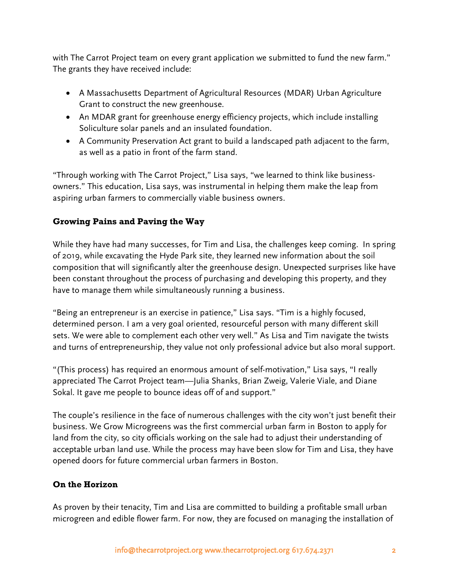with The Carrot Project team on every grant application we submitted to fund the new farm." The grants they have received include:

- A Massachusetts Department of Agricultural Resources (MDAR) Urban Agriculture Grant to construct the new greenhouse.
- An MDAR grant for greenhouse energy efficiency projects, which include installing Soliculture solar panels and an insulated foundation.
- A Community Preservation Act grant to build a landscaped path adjacent to the farm, as well as a patio in front of the farm stand.

"Through working with The Carrot Project," Lisa says, "we learned to think like businessowners." This education, Lisa says, was instrumental in helping them make the leap from aspiring urban farmers to commercially viable business owners.

# **Growing Pains and Paving the Way**

While they have had many successes, for Tim and Lisa, the challenges keep coming. In spring of 2019, while excavating the Hyde Park site, they learned new information about the soil composition that will significantly alter the greenhouse design. Unexpected surprises like have been constant throughout the process of purchasing and developing this property, and they have to manage them while simultaneously running a business.

"Being an entrepreneur is an exercise in patience," Lisa says. "Tim is a highly focused, determined person. I am a very goal oriented, resourceful person with many different skill sets. We were able to complement each other very well." As Lisa and Tim navigate the twists and turns of entrepreneurship, they value not only professional advice but also moral support.

"(This process) has required an enormous amount of self-motivation," Lisa says, "I really appreciated The Carrot Project team—Julia Shanks, Brian Zweig, Valerie Viale, and Diane Sokal. It gave me people to bounce ideas off of and support."

The couple's resilience in the face of numerous challenges with the city won't just benefit their business. We Grow Microgreens was the first commercial urban farm in Boston to apply for land from the city, so city officials working on the sale had to adjust their understanding of acceptable urban land use. While the process may have been slow for Tim and Lisa, they have opened doors for future commercial urban farmers in Boston.

# **On the Horizon**

As proven by their tenacity, Tim and Lisa are committed to building a profitable small urban microgreen and edible flower farm. For now, they are focused on managing the installation of